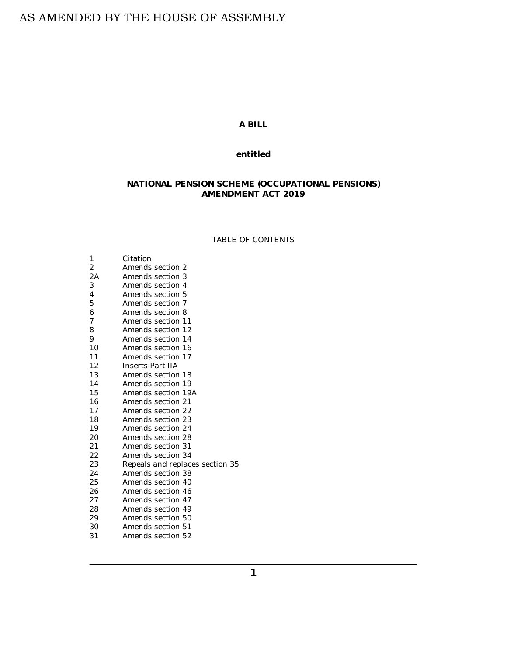# AS AMENDED BY THE HOUSE OF ASSEMBLY

# **A BILL**

### **entitled**

# **NATIONAL PENSION SCHEME (OCCUPATIONAL PENSIONS) AMENDMENT ACT 2019**

### TABLE OF CONTENTS

| 1  | Citation                        |
|----|---------------------------------|
| 2  | Amends section 2                |
| 2A | Amends section 3                |
| 3  | Amends section 4                |
| 4  | Amends section 5                |
| 5  | Amends section 7                |
| 6  | Amends section 8                |
| 7  | Amends section 11               |
| 8  | Amends section 12               |
| 9  | Amends section 14               |
| 10 | Amends section 16               |
| 11 | Amends section 17               |
| 12 | Inserts Part IIA                |
| 13 | Amends section 18               |
| 14 | Amends section 19               |
| 15 | Amends section 19A              |
| 16 | Amends section 21               |
| 17 | Amends section 22               |
| 18 | Amends section 23               |
| 19 | Amends section 24               |
| 20 | Amends section 28               |
| 21 | Amends section 31               |
| 22 | Amends section 34               |
| 23 | Repeals and replaces section 35 |
| 24 | Amends section 38               |
| 25 | Amends section 40               |
| 26 | Amends section 46               |
| 27 | Amends section 47               |
| 28 | Amends section 49               |
| 29 | Amends section 50               |
| 30 | Amends section 51               |
| 31 | Amends section 52               |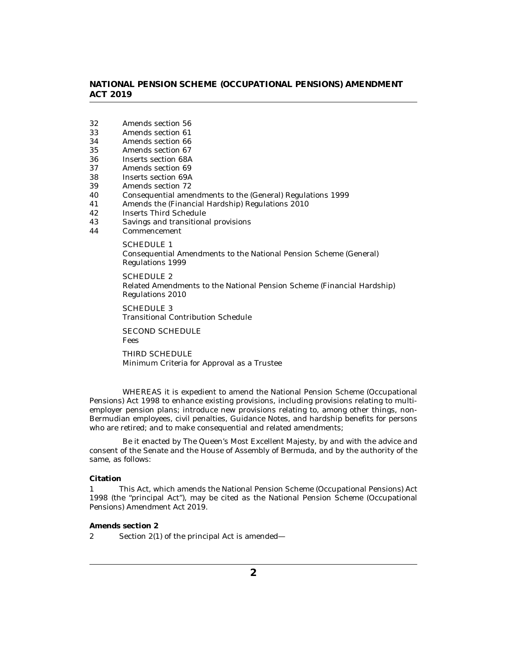- <span id="page-1-0"></span>[Amends section 56](#page-10-0) 32
- [Amends section 61](#page-11-0) 33
- [Amends section 66](#page-11-0) 34
- [Amends section 67](#page-11-0) 35
- [Inserts section 68A](#page-11-0) 36
- [Amends section 69](#page-12-0) 37
- [Inserts section 69A](#page-12-0) 38
- [Amends section 72](#page-13-0) 39
- [Consequential amendments to the \(General\) Regulations 1999](#page-13-0) 40
- [Amends the \(Financial Hardship\) Regulations 2010](#page-13-0) 41
- [Inserts Third Schedule](#page-13-0) 42
- [Savings and transitional provisions](#page-13-0) 43
- [Commencement](#page-15-0) 44

SCHEDULE 1 [Consequential Amendments to the National Pension Scheme \(General\)](#page-16-0) Regulations 1999

SCHEDULE 2 [Related Amendments to the National Pension Scheme \(Financial Hardship\)](#page-23-0) Regulations 2010

SCHEDULE 3 [Transitional Contribution Schedule](#page-26-0)

[SECOND SCHEDULE](#page-27-0) Fees

THIRD SCHEDULE [Minimum Criteria for Approval as a Trustee](#page-30-0)

WHEREAS it is expedient to amend the National Pension Scheme (Occupational Pensions) Act 1998 to enhance existing provisions, including provisions relating to multiemployer pension plans; introduce new provisions relating to, among other things, non-Bermudian employees, civil penalties, Guidance Notes, and hardship benefits for persons who are retired; and to make consequential and related amendments;

Be it enacted by The Queen's Most Excellent Majesty, by and with the advice and consent of the Senate and the House of Assembly of Bermuda, and by the authority of the same, as follows:

#### **Citation**

This Act, which amends the National Pension Scheme (Occupational Pensions) Act 1998 (the "principal Act"), may be cited as the National Pension Scheme (Occupational Pensions) Amendment Act 2019. 1

**Amends section 2**

Section 2(1) of the principal Act is amended— 2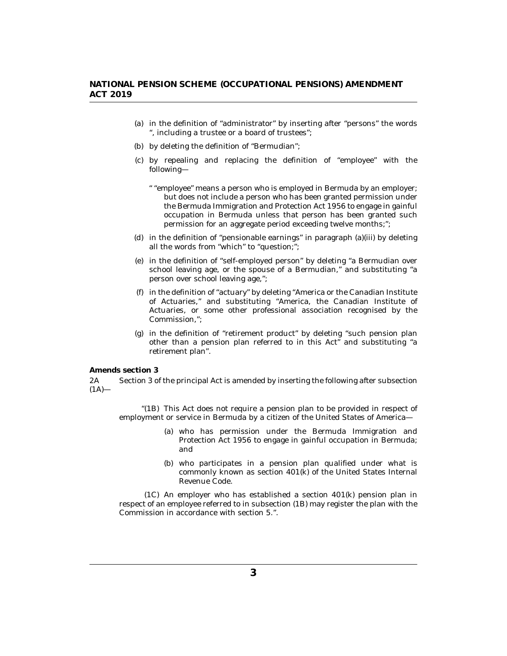- <span id="page-2-0"></span>(a) in the definition of "administrator" by inserting after "persons" the words ", including a trustee or a board of trustees";
- by deleting the definition of "Bermudian"; (b)
- by repealing and replacing the definition of "employee" with the (c) following—
	- " "employee" means a person who is employed in Bermuda by an employer; but does not include a person who has been granted permission under the Bermuda Immigration and Protection Act 1956 to engage in gainful occupation in Bermuda unless that person has been granted such permission for an aggregate period exceeding twelve months;";
- in the definition of "pensionable earnings" in paragraph (a)(iii) by deleting (d) all the words from "which" to "question;";
- (e) in the definition of "self-employed person" by deleting "a Bermudian over school leaving age, or the spouse of a Bermudian," and substituting "a person over school leaving age,";
- (f) in the definition of "actuary" by deleting "America or the Canadian Institute of Actuaries," and substituting "America, the Canadian Institute of Actuaries, or some other professional association recognised by the Commission,";
- (g) in the definition of "retirement product" by deleting "such pension plan other than a pension plan referred to in this Act" and substituting "a retirement plan".

**Amends section 3**

Section 3 of the principal Act is amended by inserting the following after subsection  $(1A)$ — 2A

" $(1B)$  This Act does not require a pension plan to be provided in respect of employment or service in Bermuda by a citizen of the United States of America—

- who has permission under the Bermuda Immigration and (a) Protection Act 1956 to engage in gainful occupation in Bermuda; and
- (b) who participates in a pension plan qualified under what is commonly known as section 401(k) of the United States Internal Revenue Code.

 $(1C)$  An employer who has established a section  $401(k)$  pension plan in respect of an employee referred to in subsection (1B) may register the plan with the Commission in accordance with section 5.".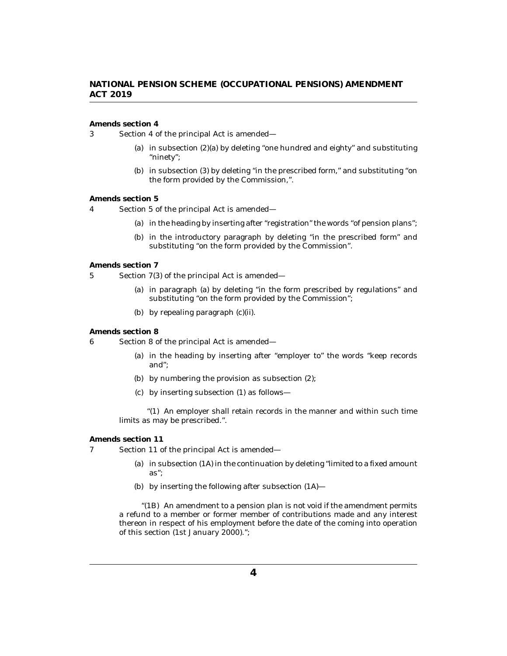<span id="page-3-0"></span>**Amends section 4**

Section 4 of the principal Act is amended— 3

- (a) in subsection (2)(a) by deleting "one hundred and eighty" and substituting "ninety";
- (b) in subsection (3) by deleting "in the prescribed form," and substituting "on the form provided by the Commission,".

#### **Amends section 5**

Section 5 of the principal Act is amended— 4

- (a) in the heading by inserting after "registration" the words "of pension plans";
- (b) in the introductory paragraph by deleting "in the prescribed form" and substituting "on the form provided by the Commission".

#### **Amends section 7**

Section 7(3) of the principal Act is amended— 5

- (a) in paragraph (a) by deleting "in the form prescribed by regulations" and substituting "on the form provided by the Commission";
- by repealing paragraph (c)(ii). (b)

### **Amends section 8**

- Section 8 of the principal Act is amended— 6
	- (a) in the heading by inserting after "employer to" the words "keep records and";
	- by numbering the provision as subsection (2); (b)
	- by inserting subsection (1) as follows— (c)

" $(1)$  An employer shall retain records in the manner and within such time limits as may be prescribed.".

### **Amends section 11**

- Section 11 of the principal Act is amended— 7
	- (a) in subsection  $(1A)$  in the continuation by deleting "limited to a fixed amount as";
	- by inserting the following after subsection (1A)— (b)

"(1B) An amendment to a pension plan is not void if the amendment permits a refund to a member or former member of contributions made and any interest thereon in respect of his employment before the date of the coming into operation of this section (1st January 2000).";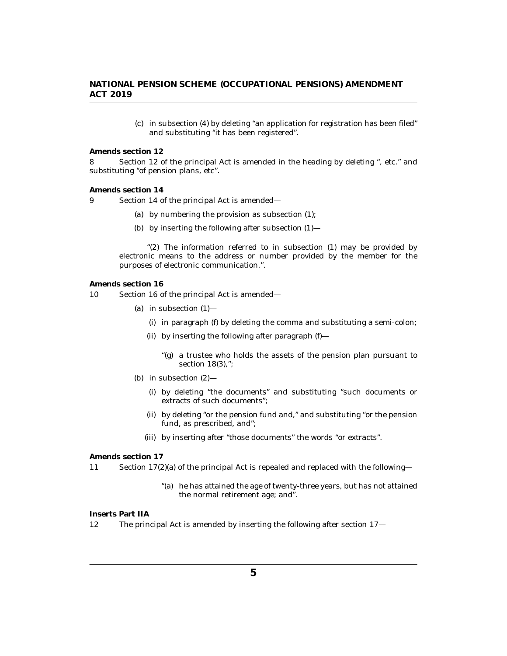(c) in subsection (4) by deleting "an application for registration has been filed" and substituting "it has been registered".

<span id="page-4-0"></span>**Amends section 12**

Section 12 of the principal Act is amended in the heading by deleting ", etc." and substituting "of pension plans, etc". 8

#### **Amends section 14**

- Section 14 of the principal Act is amended—  $\mathbf{Q}$ 
	- (a) by numbering the provision as subsection (1);
	- by inserting the following after subsection (1)— (b)

"(2) The information referred to in subsection (1) may be provided by electronic means to the address or number provided by the member for the purposes of electronic communication.".

#### **Amends section 16**

- Section 16 of the principal Act is amended— 10
	- (a) in subsection  $(1)$ 
		- in paragraph (f) by deleting the comma and substituting a semi-colon; (i)
		- $(ii)$  by inserting the following after paragraph  $(f)$ 
			- "(g) a trustee who holds the assets of the pension plan pursuant to section 18(3),":
	- (b) in subsection  $(2)$ 
		- (i) by deleting "the documents" and substituting "such documents or extracts of such documents";
		- by deleting "or the pension fund and," and substituting "or the pension (ii) fund, as prescribed, and";
		- (iii) by inserting after "those documents" the words "or extracts".

**Amends section 17**

Section 17(2)(a) of the principal Act is repealed and replaced with the following— 11

> "(a) he has attained the age of twenty-three years, but has not attained the normal retirement age; and".

### **Inserts Part IIA**

The principal Act is amended by inserting the following after section 17— 12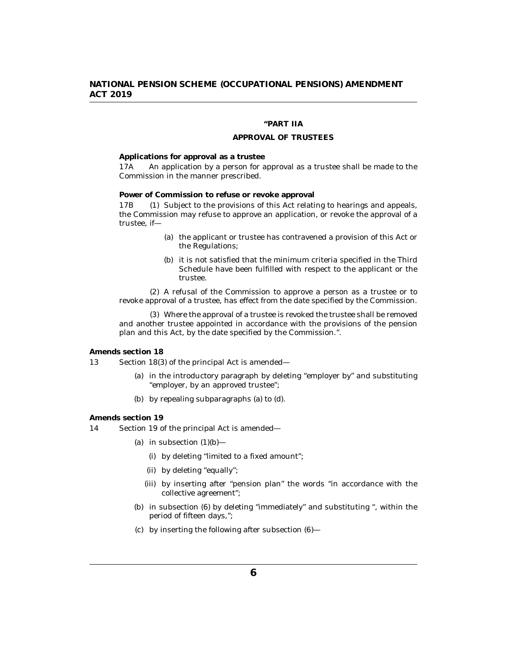### **"PART IIA**

### **APPROVAL OF TRUSTEES**

#### <span id="page-5-0"></span>**Applications for approval as a trustee**

An application by a person for approval as a trustee shall be made to the Commission in the manner prescribed. 17A

**Power of Commission to refuse or revoke approval**

(1) Subject to the provisions of this Act relating to hearings and appeals, the Commission may refuse to approve an application, or revoke the approval of a trustee, if— 17B (1)

- (a) the applicant or trustee has contravened a provision of this Act or the Regulations;
- (b) it is not satisfied that the minimum criteria specified in the Third Schedule have been fulfilled with respect to the applicant or the trustee.

(2) A refusal of the Commission to approve a person as a trustee or to revoke approval of a trustee, has effect from the date specified by the Commission.

Where the approval of a trustee is revoked the trustee shall be removed (3) and another trustee appointed in accordance with the provisions of the pension plan and this Act, by the date specified by the Commission.".

### **Amends section 18**

Section 18(3) of the principal Act is amended— 13

- (a) in the introductory paragraph by deleting "employer by" and substituting "employer, by an approved trustee";
- by repealing subparagraphs (a) to (d). (b)

#### **Amends section 19**

Section 19 of the principal Act is amended— 14

- (a) in subsection  $(1)(b)$ 
	- by deleting "limited to a fixed amount"; (i)
	- (ii) by deleting "equally";
	- (iii) by inserting after "pension plan" the words "in accordance with the collective agreement";
- (b) in subsection (6) by deleting "immediately" and substituting ", within the period of fifteen days,";
- $\chi$  by inserting the following after subsection  $(6)$ —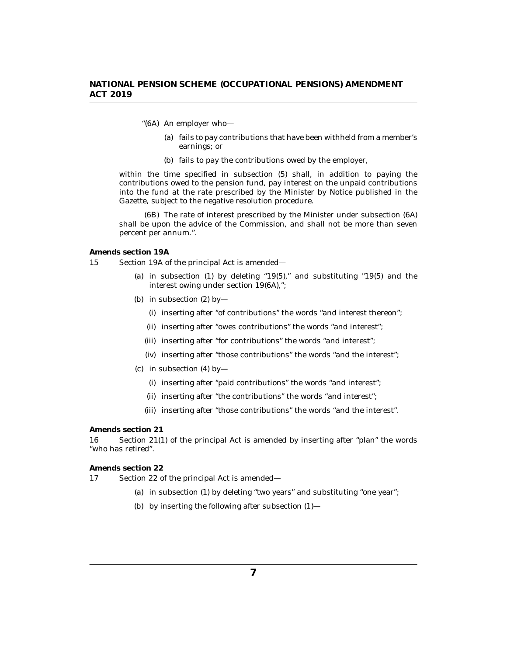- <span id="page-6-0"></span>"(6A) An employer who
	- fails to pay contributions that have been withheld from a member's (a) earnings; or
	- (b) fails to pay the contributions owed by the employer,

within the time specified in subsection (5) shall, in addition to paying the contributions owed to the pension fund, pay interest on the unpaid contributions into the fund at the rate prescribed by the Minister by Notice published in the Gazette, subject to the negative resolution procedure.

(6B) The rate of interest prescribed by the Minister under subsection (6A) shall be upon the advice of the Commission, and shall not be more than seven percent per annum.".

#### **Amends section 19A**

- Section 19A of the principal Act is amended— 15
	- (a) in subsection  $(1)$  by deleting "19 $(5)$ ," and substituting "19 $(5)$  and the interest owing under section 19(6A),";
	- (b) in subsection  $(2)$  by-
		- (i) inserting after "of contributions" the words "and interest thereon";
		- (ii) inserting after "owes contributions" the words "and interest";
		- (iii) inserting after "for contributions" the words "and interest";
		- (iv) inserting after "those contributions" the words "and the interest";
	- $(c)$  in subsection  $(4)$  by-
		- (i) inserting after "paid contributions" the words "and interest";
		- (ii) inserting after "the contributions" the words "and interest";
		- (iii) inserting after "those contributions" the words "and the interest".

#### **Amends section 21**

Section 21(1) of the principal Act is amended by inserting after "plan" the words "who has retired". 16

**Amends section 22**

- Section 22 of the principal Act is amended— 17
	- (a) in subsection (1) by deleting "two years" and substituting "one year";
	- by inserting the following after subsection (1)— (b)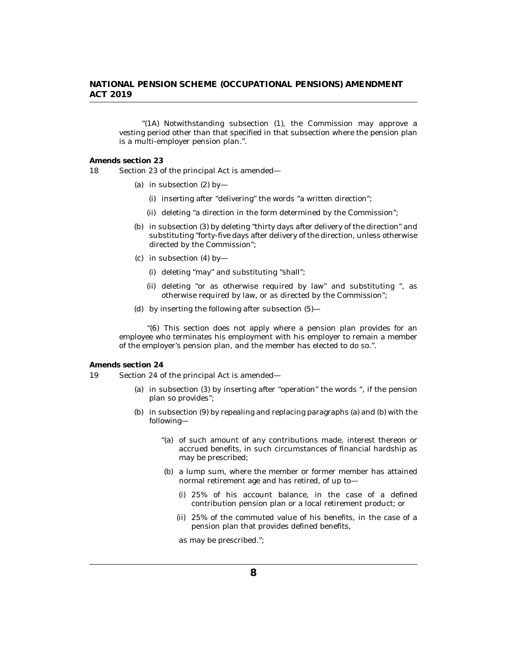<span id="page-7-0"></span>" $(1A)$  Notwithstanding subsection  $(1)$ , the Commission may approve a vesting period other than that specified in that subsection where the pension plan is a multi-employer pension plan.".

**Amends section 23**

Section 23 of the principal Act is amended— 18

- (a) in subsection  $(2)$  by-
	- (i) inserting after "delivering" the words "a written direction";
	- (ii) deleting "a direction in the form determined by the Commission";
- (b) in subsection (3) by deleting "thirty days after delivery of the direction" and substituting "forty-five days after delivery of the direction, unless otherwise directed by the Commission";
- (c) in subsection  $(4)$  by—
	- (i) deleting "may" and substituting "shall";
	- (ii) deleting "or as otherwise required by law" and substituting ", as otherwise required by law, or as directed by the Commission";
- by inserting the following after subsection (5)— (d)

"(6) This section does not apply where a pension plan provides for an employee who terminates his employment with his employer to remain a member of the employer's pension plan, and the member has elected to do so.".

**Amends section 24**

- Section 24 of the principal Act is amended— 19
	- (a) in subsection  $(3)$  by inserting after "operation" the words ", if the pension plan so provides";
	- (b) in subsection (9) by repealing and replacing paragraphs (a) and (b) with the following—
		- "(a) of such amount of any contributions made, interest thereon or accrued benefits, in such circumstances of financial hardship as may be prescribed;
		- (b) a lump sum, where the member or former member has attained normal retirement age and has retired, of up to—
			- 25% of his account balance, in the case of a defined (i) contribution pension plan or a local retirement product; or
			- 25% of the commuted value of his benefits, in the case of a (ii) pension plan that provides defined benefits,

as may be prescribed.";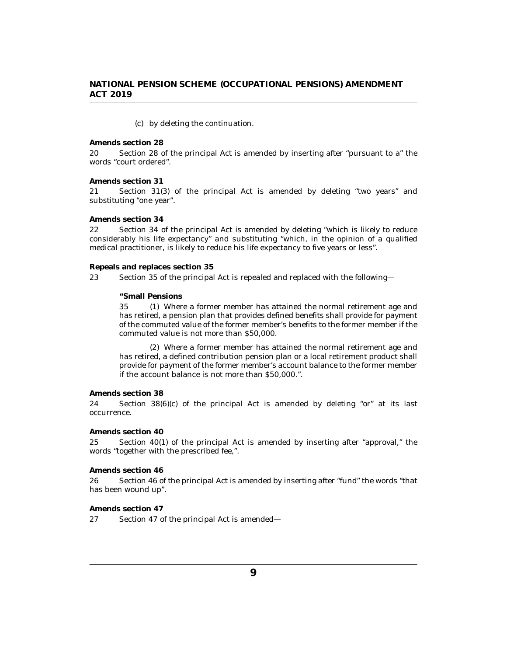#### by deleting the continuation. (c)

<span id="page-8-0"></span>**Amends section 28**

Section 28 of the principal Act is amended by inserting after "pursuant to a" the words "court ordered". 20

**Amends section 31**

Section 31(3) of the principal Act is amended by deleting "two years" and substituting "one year". 21

### **Amends section 34**

Section 34 of the principal Act is amended by deleting "which is likely to reduce considerably his life expectancy" and substituting "which, in the opinion of a qualified medical practitioner, is likely to reduce his life expectancy to five years or less". 22

#### **Repeals and replaces section 35**

Section 35 of the principal Act is repealed and replaced with the following— 23

#### **"Small Pensions**

Where a former member has attained the normal retirement age and 35 (1) has retired, a pension plan that provides defined benefits shall provide for payment of the commuted value of the former member's benefits to the former member if the commuted value is not more than \$50,000.

Where a former member has attained the normal retirement age and (2) has retired, a defined contribution pension plan or a local retirement product shall provide for payment of the former member's account balance to the former member if the account balance is not more than \$50,000.".

#### **Amends section 38**

Section  $38(6)(c)$  of the principal Act is amended by deleting "or" at its last occurrence. 24

**Amends section 40**

Section 40(1) of the principal Act is amended by inserting after "approval," the words "together with the prescribed fee,". 25

#### **Amends section 46**

Section 46 of the principal Act is amended by inserting after "fund" the words "that has been wound up". 26

**Amends section 47**

Section 47 of the principal Act is amended— 27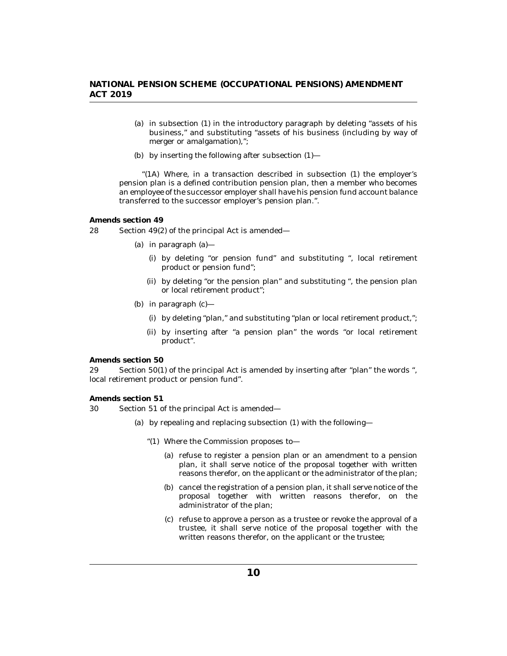- <span id="page-9-0"></span>(a) in subsection (1) in the introductory paragraph by deleting "assets of his business," and substituting "assets of his business (including by way of merger or amalgamation),";
- (b) by inserting the following after subsection  $(1)$ —

"(1A) Where, in a transaction described in subsection  $(1)$  the employer's pension plan is a defined contribution pension plan, then a member who becomes an employee of the successor employer shall have his pension fund account balance transferred to the successor employer's pension plan.".

**Amends section 49**

- Section 49(2) of the principal Act is amended— 28
	- in paragraph (a)— (a)
		- (i) by deleting "or pension fund" and substituting ", local retirement product or pension fund";
		- by deleting "or the pension plan" and substituting ", the pension plan (ii) or local retirement product";
	- (b) in paragraph  $(c)$ 
		- (i) by deleting "plan," and substituting "plan or local retirement product,";
		- by inserting after "a pension plan" the words "or local retirement (ii) product".

**Amends section 50**

Section 50(1) of the principal Act is amended by inserting after "plan" the words ", local retirement product or pension fund". 29

**Amends section 51**

- Section 51 of the principal Act is amended— 30
	- by repealing and replacing subsection (1) with the following— (a)
		- Where the Commission proposes to— "(1)
			- (a) refuse to register a pension plan or an amendment to a pension plan, it shall serve notice of the proposal together with written reasons therefor, on the applicant or the administrator of the plan;
			- (b) cancel the registration of a pension plan, it shall serve notice of the proposal together with written reasons therefor, on the administrator of the plan;
			- (c) refuse to approve a person as a trustee or revoke the approval of a trustee, it shall serve notice of the proposal together with the written reasons therefor, on the applicant or the trustee;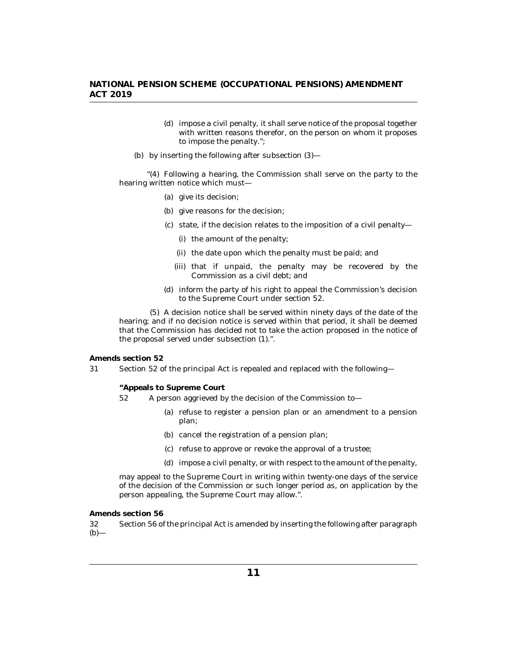- <span id="page-10-0"></span>(d) impose a civil penalty, it shall serve notice of the proposal together with written reasons therefor, on the person on whom it proposes to impose the penalty.";
- by inserting the following after subsection (3)— (b)

"(4) Following a hearing, the Commission shall serve on the party to the hearing written notice which must—

- give its decision; (a)
- (b) give reasons for the decision;
- (c) state, if the decision relates to the imposition of a civil penalty-
	- (i) the amount of the penalty;
	- (ii) the date upon which the penalty must be paid; and
	- (iii) that if unpaid, the penalty may be recovered by the Commission as a civil debt; and
- (d) inform the party of his right to appeal the Commission's decision to the Supreme Court under section 52.

A decision notice shall be served within ninety days of the date of the (5) hearing; and if no decision notice is served within that period, it shall be deemed that the Commission has decided not to take the action proposed in the notice of the proposal served under subsection (1).".

**Amends section 52**

Section 52 of the principal Act is repealed and replaced with the following— 31

**"Appeals to Supreme Court**

- A person aggrieved by the decision of the Commission to— 52
	- (a) refuse to register a pension plan or an amendment to a pension plan;
	- (b) cancel the registration of a pension plan;
	- (c) refuse to approve or revoke the approval of a trustee;
	- (d) impose a civil penalty, or with respect to the amount of the penalty,

may appeal to the Supreme Court in writing within twenty-one days of the service of the decision of the Commission or such longer period as, on application by the person appealing, the Supreme Court may allow.".

**Amends section 56**

Section 56 of the principal Act is amended by inserting the following after paragraph  $(b)$ — 32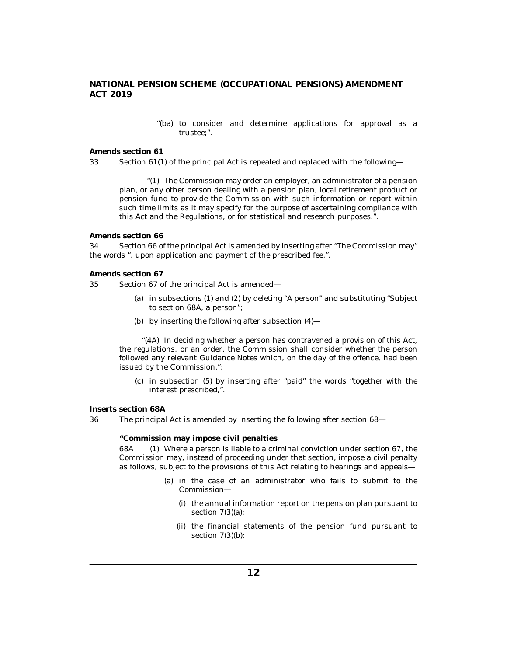"(ba) to consider and determine applications for approval as a trustee;".

<span id="page-11-0"></span>**Amends section 61**

Section 61(1) of the principal Act is repealed and replaced with the following— 33

"(1) The Commission may order an employer, an administrator of a pension plan, or any other person dealing with a pension plan, local retirement product or pension fund to provide the Commission with such information or report within such time limits as it may specify for the purpose of ascertaining compliance with this Act and the Regulations, or for statistical and research purposes.".

#### **Amends section 66**

Section 66 of the principal Act is amended by inserting after "The Commission may" the words ", upon application and payment of the prescribed fee,". 34

#### **Amends section 67**

Section 67 of the principal Act is amended— 35

- (a) in subsections (1) and (2) by deleting "A person" and substituting "Subject to section 68A, a person";
- by inserting the following after subsection (4)— (b)

"(4A) In deciding whether a person has contravened a provision of this Act, the regulations, or an order, the Commission shall consider whether the person followed any relevant Guidance Notes which, on the day of the offence, had been issued by the Commission.";

(c) in subsection (5) by inserting after "paid" the words "together with the interest prescribed,".

**Inserts section 68A**

The principal Act is amended by inserting the following after section 68— 36

**"Commission may impose civil penalties**

Where a person is liable to a criminal conviction under section 67, the Commission may, instead of proceeding under that section, impose a civil penalty as follows, subject to the provisions of this Act relating to hearings and appeals— 68A

- (a) in the case of an administrator who fails to submit to the Commission—
	- (i) the annual information report on the pension plan pursuant to section 7(3)(a);
	- (ii) the financial statements of the pension fund pursuant to section  $7(3)(b)$ ;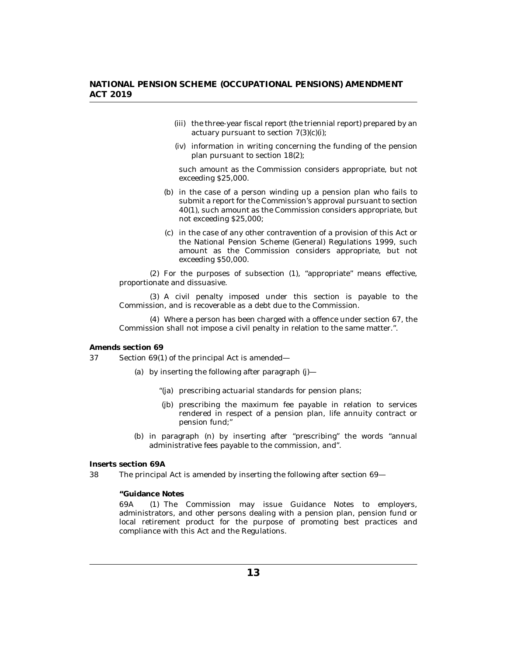- <span id="page-12-0"></span>(iii) the three-year fiscal report (the triennial report) prepared by an actuary pursuant to section 7(3)(c)(i);
- (iv) information in writing concerning the funding of the pension plan pursuant to section 18(2);

such amount as the Commission considers appropriate, but not exceeding \$25,000.

- (b) in the case of a person winding up a pension plan who fails to submit a report for the Commission's approval pursuant to section 40(1), such amount as the Commission considers appropriate, but not exceeding \$25,000;
- (c) in the case of any other contravention of a provision of this Act or the National Pension Scheme (General) Regulations 1999, such amount as the Commission considers appropriate, but not exceeding \$50,000.

(2) For the purposes of subsection (1), "appropriate" means effective, proportionate and dissuasive.

(3) A civil penalty imposed under this section is payable to the Commission, and is recoverable as a debt due to the Commission.

Where a person has been charged with a offence under section 67, the (4) Commission shall not impose a civil penalty in relation to the same matter.".

**Amends section 69**

Section 69(1) of the principal Act is amended— 37

- (a) by inserting the following after paragraph  $(j)$ 
	- "(ja) prescribing actuarial standards for pension plans;
	- (jb) prescribing the maximum fee payable in relation to services rendered in respect of a pension plan, life annuity contract or pension fund;"
- (b) in paragraph (n) by inserting after "prescribing" the words "annual administrative fees payable to the commission, and".

**Inserts section 69A**

The principal Act is amended by inserting the following after section 69— 38

**"Guidance Notes**

(1) The Commission may issue Guidance Notes to employers, administrators, and other persons dealing with a pension plan, pension fund or local retirement product for the purpose of promoting best practices and compliance with this Act and the Regulations. 69A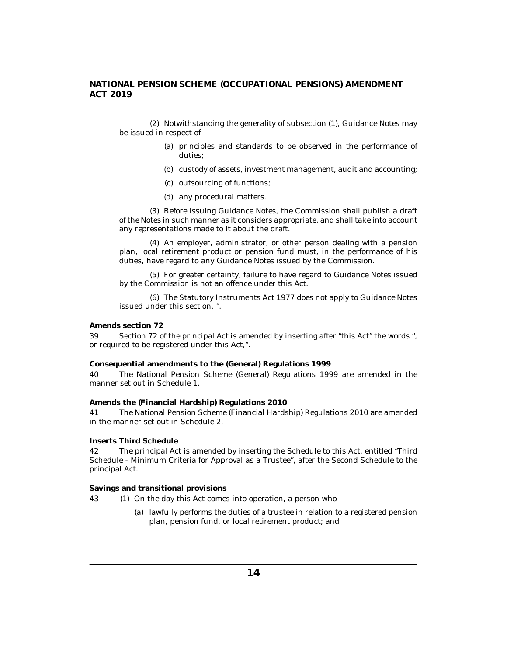<span id="page-13-0"></span>(2) Notwithstanding the generality of subsection (1), Guidance Notes may be issued in respect of—

- (a) principles and standards to be observed in the performance of duties;
- (b) custody of assets, investment management, audit and accounting;
- (c) outsourcing of functions;
- any procedural matters. (d)

(3) Before issuing Guidance Notes, the Commission shall publish a draft of the Notes in such manner as it considers appropriate, and shall take into account any representations made to it about the draft.

(4) An employer, administrator, or other person dealing with a pension plan, local retirement product or pension fund must, in the performance of his duties, have regard to any Guidance Notes issued by the Commission.

(5) For greater certainty, failure to have regard to Guidance Notes issued by the Commission is not an offence under this Act.

The Statutory Instruments Act 1977 does not apply to Guidance Notes (6) issued under this section. ".

**Amends section 72**

Section 72 of the principal Act is amended by inserting after "this Act" the words ", or required to be registered under this Act,". 39

**Consequential amendments to the (General) Regulations 1999**

The National Pension Scheme (General) Regulations 1999 are amended in the manner set out in Schedule 1. 40

**Amends the (Financial Hardship) Regulations 2010**

The National Pension Scheme (Financial Hardship) Regulations 2010 are amended in the manner set out in Schedule 2. 41

**Inserts Third Schedule**

The principal Act is amended by inserting the Schedule to this Act, entitled "Third Schedule - Minimum Criteria for Approval as a Trustee", after the Second Schedule to the principal Act. 42

**Savings and transitional provisions**

43 (1) On the day this Act comes into operation, a person who-

lawfully performs the duties of a trustee in relation to a registered pension (a) plan, pension fund, or local retirement product; and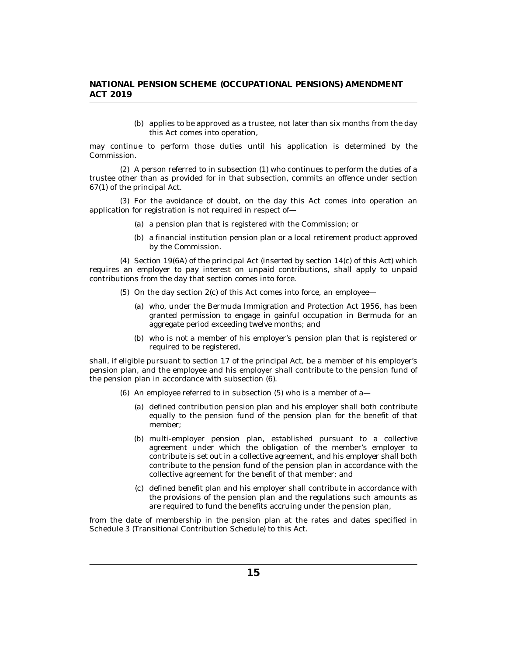(b) applies to be approved as a trustee, not later than six months from the day this Act comes into operation,

may continue to perform those duties until his application is determined by the Commission.

 $(2)$  A person referred to in subsection  $(1)$  who continues to perform the duties of a trustee other than as provided for in that subsection, commits an offence under section 67(1) of the principal Act.

For the avoidance of doubt, on the day this Act comes into operation an (3) application for registration is not required in respect of—

- (a) a pension plan that is registered with the Commission; or
- (b) a financial institution pension plan or a local retirement product approved by the Commission.

 $(4)$  Section 19 $(6A)$  of the principal Act (inserted by section 14 $(c)$  of this Act) which requires an employer to pay interest on unpaid contributions, shall apply to unpaid contributions from the day that section comes into force.

- $(5)$  On the day section  $2(c)$  of this Act comes into force, an employee
	- who, under the Bermuda Immigration and Protection Act 1956, has been (a) granted permission to engage in gainful occupation in Bermuda for an aggregate period exceeding twelve months; and
	- who is not a member of his employer's pension plan that is registered or (b) required to be registered,

shall, if eligible pursuant to section 17 of the principal Act, be a member of his employer's pension plan, and the employee and his employer shall contribute to the pension fund of the pension plan in accordance with subsection (6).

- $(6)$  An employee referred to in subsection  $(5)$  who is a member of a-
	- (a) defined contribution pension plan and his employer shall both contribute equally to the pension fund of the pension plan for the benefit of that member;
	- (b) multi-employer pension plan, established pursuant to a collective agreement under which the obligation of the member's employer to contribute is set out in a collective agreement, and his employer shall both contribute to the pension fund of the pension plan in accordance with the collective agreement for the benefit of that member; and
	- (c) defined benefit plan and his employer shall contribute in accordance with the provisions of the pension plan and the regulations such amounts as are required to fund the benefits accruing under the pension plan,

from the date of membership in the pension plan at the rates and dates specified in Schedule 3 (Transitional Contribution Schedule) to this Act.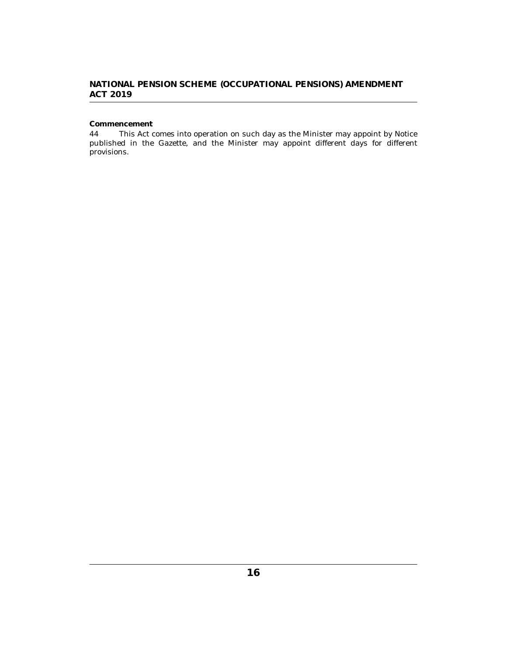# <span id="page-15-0"></span>**Commencement**

This Act comes into operation on such day as the Minister may appoint by Notice published in the Gazette, and the Minister may appoint different days for different provisions. 44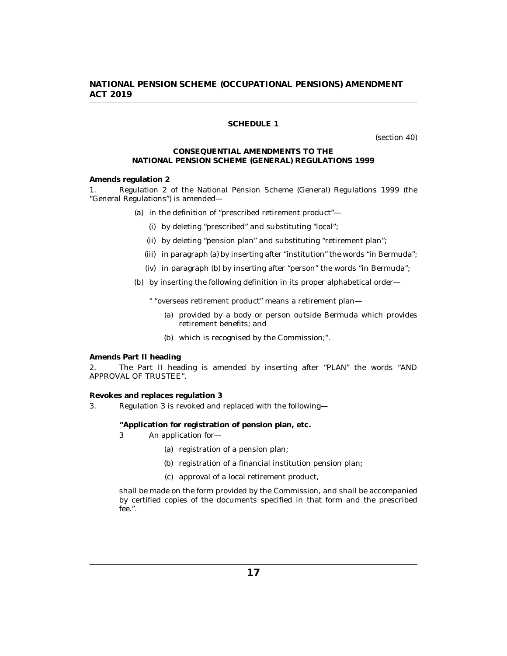### **SCHEDULE 1**

(section 40)

#### **CONSEQUENTIAL AMENDMENTS TO THE NATIONAL PENSION SCHEME (GENERAL) REGULATIONS 1999**

<span id="page-16-0"></span>**Amends regulation 2**

Regulation 2 of the National Pension Scheme (General) Regulations 1999 (the "General Regulations") is amended— 1.

- (a) in the definition of "prescribed retirement product"—
	- (i) by deleting "prescribed" and substituting "local";
	- (ii) by deleting "pension plan" and substituting "retirement plan";
	- (iii) in paragraph (a) by inserting after "institution" the words "in Bermuda";
	- (iv) in paragraph (b) by inserting after "person" the words "in Bermuda";

by inserting the following definition in its proper alphabetical order— (b)

" "overseas retirement product" means a retirement plan—

- (a) provided by a body or person outside Bermuda which provides retirement benefits; and
- which is recognised by the Commission;". (b)

**Amends Part II heading**

The Part II heading is amended by inserting after "PLAN" the words "AND APPROVAL OF TRUSTEE". 2.

**Revokes and replaces regulation 3**

Regulation 3 is revoked and replaced with the following— 3.

**"Application for registration of pension plan, etc.**

- An application for— 3
	- (a) registration of a pension plan;
	- (b) registration of a financial institution pension plan;
	- (c) approval of a local retirement product,

shall be made on the form provided by the Commission, and shall be accompanied by certified copies of the documents specified in that form and the prescribed fee.".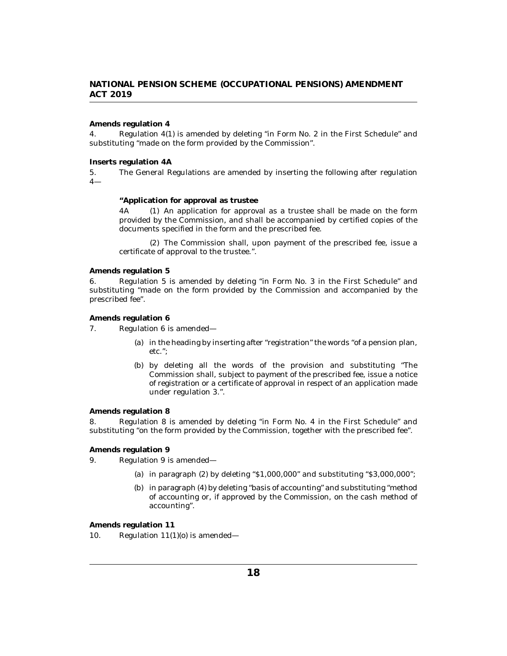### **Amends regulation 4**

Regulation 4(1) is amended by deleting "in Form No. 2 in the First Schedule" and substituting "made on the form provided by the Commission". 4.

**Inserts regulation 4A**

The General Regulations are amended by inserting the following after regulation 4— 5.

**"Application for approval as trustee**

4A (1) An application for approval as a trustee shall be made on the form provided by the Commission, and shall be accompanied by certified copies of the documents specified in the form and the prescribed fee.

(2) The Commission shall, upon payment of the prescribed fee, issue a certificate of approval to the trustee.".

**Amends regulation 5**

Regulation 5 is amended by deleting "in Form No. 3 in the First Schedule" and substituting "made on the form provided by the Commission and accompanied by the prescribed fee". 6.

**Amends regulation 6**

- Regulation 6 is amended— 7.
	- (a) in the heading by inserting after "registration" the words "of a pension plan, etc.";
	- by deleting all the words of the provision and substituting "The (b) Commission shall, subject to payment of the prescribed fee, issue a notice of registration or a certificate of approval in respect of an application made under regulation 3.".

#### **Amends regulation 8**

Regulation 8 is amended by deleting "in Form No. 4 in the First Schedule" and substituting "on the form provided by the Commission, together with the prescribed fee". 8.

**Amends regulation 9**

- Regulation 9 is amended— 9.
	- (a) in paragraph  $(2)$  by deleting "\$1,000,000" and substituting "\$3,000,000";
	- (b) in paragraph (4) by deleting "basis of accounting" and substituting "method of accounting or, if approved by the Commission, on the cash method of accounting".

**Amends regulation 11**

Regulation  $11(1)(o)$  is amended— 10.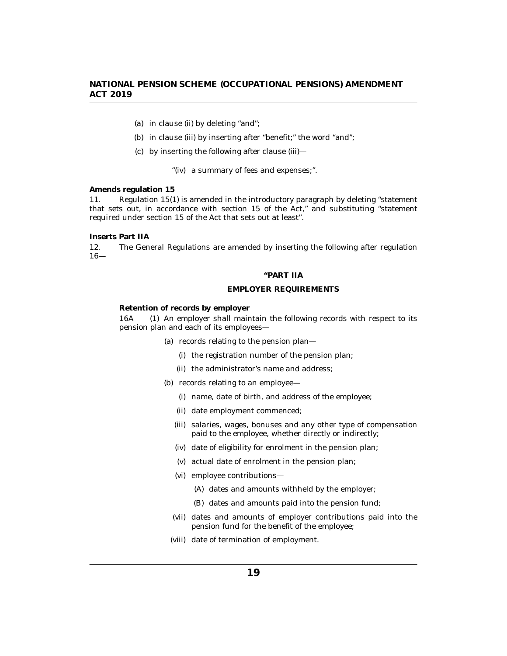- (a) in clause (ii) by deleting "and";
- (b) in clause (iii) by inserting after "benefit;" the word "and";
- by inserting the following after clause (iii)— (c)

"(iv) a summary of fees and expenses;".

### **Amends regulation 15**

Regulation 15(1) is amended in the introductory paragraph by deleting "statement that sets out, in accordance with section 15 of the Act," and substituting "statement required under section 15 of the Act that sets out at least". 11.

**Inserts Part IIA**

The General Regulations are amended by inserting the following after regulation 16— 12.

#### **"PART IIA**

### **EMPLOYER REQUIREMENTS**

**Retention of records by employer**

(1) An employer shall maintain the following records with respect to its pension plan and each of its employees— 16A

- (a) records relating to the pension plan—
	- (i) the registration number of the pension plan;
	- (ii) the administrator's name and address;
- (b) records relating to an employee
	- name, date of birth, and address of the employee; (i)
	- (ii) date employment commenced;
	- (iii) salaries, wages, bonuses and any other type of compensation paid to the employee, whether directly or indirectly;
	- (iv) date of eligibility for enrolment in the pension plan;
	- (v) actual date of enrolment in the pension plan;
	- (vi) employee contributions—
		- (A) dates and amounts withheld by the employer;
		- (B) dates and amounts paid into the pension fund;
	- (vii) dates and amounts of employer contributions paid into the pension fund for the benefit of the employee;
	- (viii) date of termination of employment.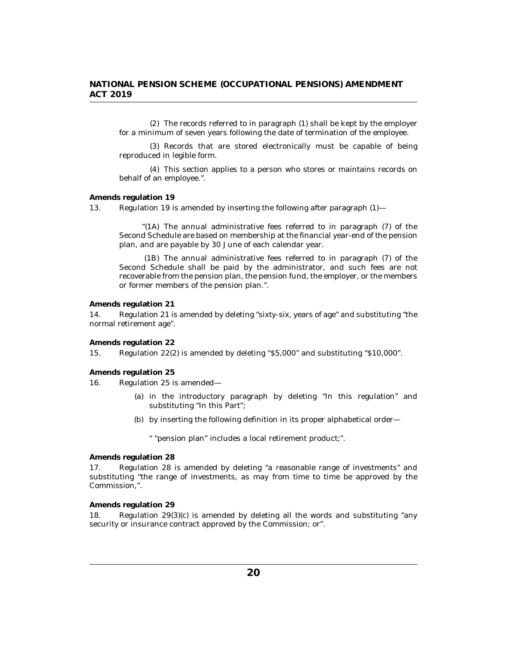(2) The records referred to in paragraph (1) shall be kept by the employer for a minimum of seven years following the date of termination of the employee.

(3) Records that are stored electronically must be capable of being reproduced in legible form.

This section applies to a person who stores or maintains records on (4) behalf of an employee.".

#### **Amends regulation 19**

Regulation 19 is amended by inserting the following after paragraph (1)— 13.

"(1A) The annual administrative fees referred to in paragraph  $(7)$  of the Second Schedule are based on membership at the financial year-end of the pension plan, and are payable by 30 June of each calendar year.

(1B) The annual administrative fees referred to in paragraph (7) of the Second Schedule shall be paid by the administrator, and such fees are not recoverable from the pension plan, the pension fund, the employer, or the members or former members of the pension plan.".

**Amends regulation 21**

Regulation 21 is amended by deleting "sixty-six, years of age" and substituting "the normal retirement age". 14.

**Amends regulation 22**

Regulation 22(2) is amended by deleting "\$5,000" and substituting "\$10,000". 15.

**Amends regulation 25**

Regulation 25 is amended— 16.

- (a) in the introductory paragraph by deleting "In this regulation" and substituting "In this Part";
- by inserting the following definition in its proper alphabetical order— (b)

" "pension plan" includes a local retirement product;".

**Amends regulation 28**

Regulation 28 is amended by deleting "a reasonable range of investments" and substituting "the range of investments, as may from time to time be approved by the Commission,". 17.

**Amends regulation 29**

Regulation 29(3)(c) is amended by deleting all the words and substituting "any security or insurance contract approved by the Commission; or". 18.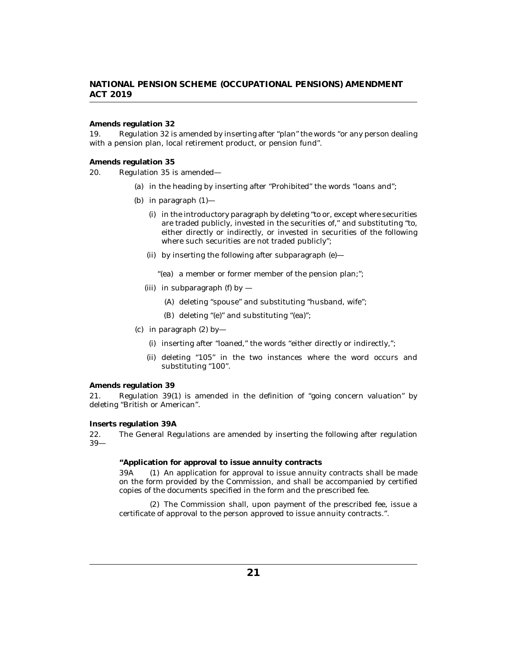#### **Amends regulation 32**

Regulation 32 is amended by inserting after "plan" the words "or any person dealing with a pension plan, local retirement product, or pension fund". 19.

**Amends regulation 35**

Regulation 35 is amended— 20.

- (a) in the heading by inserting after "Prohibited" the words "loans and";
- (b) in paragraph  $(1)$ 
	- (i) in the introductory paragraph by deleting "to or, except where securities are traded publicly, invested in the securities of," and substituting "to, either directly or indirectly, or invested in securities of the following where such securities are not traded publicly";
	- (ii) by inserting the following after subparagraph (e)—
		- "(ea) a member or former member of the pension plan;";
	- (iii) in subparagraph (f) by  $-$ 
		- (A) deleting "spouse" and substituting "husband, wife";
		- (B) deleting "(e)" and substituting "(ea)";
- (c) in paragraph  $(2)$  by-
	- (i) inserting after "loaned," the words "either directly or indirectly,";
	- (ii) deleting "105" in the two instances where the word occurs and substituting "100".

**Amends regulation 39**

Regulation 39(1) is amended in the definition of "going concern valuation" by deleting "British or American". 21.

**Inserts regulation 39A**

The General Regulations are amended by inserting the following after regulation 39— 22.

**"Application for approval to issue annuity contracts**

 $(1)$  An application for approval to issue annuity contracts shall be made on the form provided by the Commission, and shall be accompanied by certified copies of the documents specified in the form and the prescribed fee. 39A

(2) The Commission shall, upon payment of the prescribed fee, issue a certificate of approval to the person approved to issue annuity contracts.".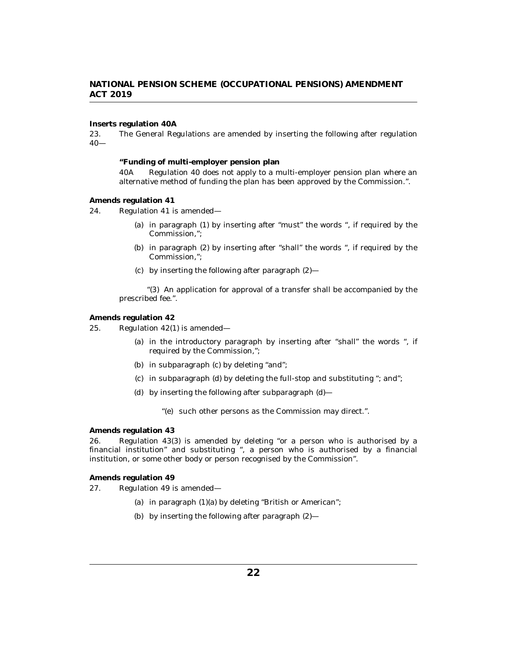**Inserts regulation 40A**

The General Regulations are amended by inserting the following after regulation  $40-$ 23.

**"Funding of multi-employer pension plan**

Regulation 40 does not apply to a multi-employer pension plan where an alternative method of funding the plan has been approved by the Commission.". 40A

#### **Amends regulation 41**

- Regulation 41 is amended— 24.
	- (a) in paragraph  $(1)$  by inserting after "must" the words ", if required by the Commission,";
	- (b) in paragraph (2) by inserting after "shall" the words ", if required by the Commission,";
	- $\alpha$  by inserting the following after paragraph  $(2)$ —

"(3) An application for approval of a transfer shall be accompanied by the prescribed fee.".

**Amends regulation 42**

Regulation 42(1) is amended— 25.

- (a) in the introductory paragraph by inserting after "shall" the words ", if required by the Commission,";
- (b) in subparagraph (c) by deleting "and";
- (c) in subparagraph (d) by deleting the full-stop and substituting "; and";
- by inserting the following after subparagraph (d)— (d)

"(e) such other persons as the Commission may direct.".

**Amends regulation 43**

Regulation 43(3) is amended by deleting "or a person who is authorised by a financial institution" and substituting ", a person who is authorised by a financial institution, or some other body or person recognised by the Commission". 26.

**Amends regulation 49**

Regulation 49 is amended— 27.

- (a) in paragraph (1)(a) by deleting "British or American";
- by inserting the following after paragraph (2)— (b)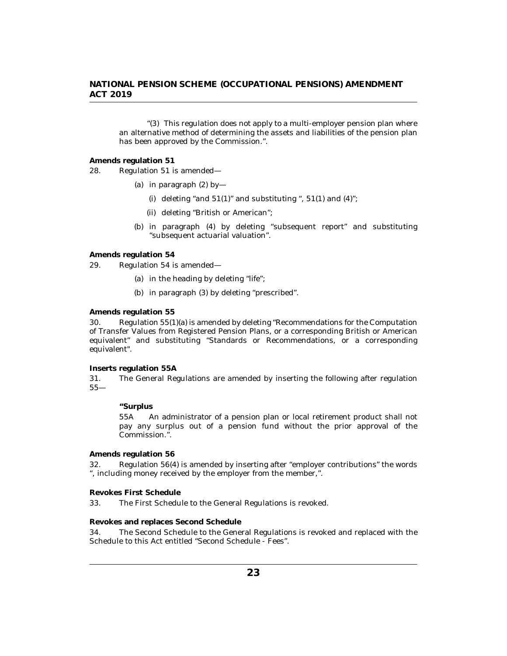"(3) This regulation does not apply to a multi-employer pension plan where an alternative method of determining the assets and liabilities of the pension plan has been approved by the Commission.".

**Amends regulation 51**

Regulation 51 is amended— 28.

- (a) in paragraph  $(2)$  by-
	- (i) deleting "and  $51(1)$ " and substituting ",  $51(1)$  and  $(4)$ ";
	- (ii) deleting "British or American";
- (b) in paragraph (4) by deleting "subsequent report" and substituting "subsequent actuarial valuation".

**Amends regulation 54**

Regulation 54 is amended— 29.

- (a) in the heading by deleting "life";
- (b) in paragraph (3) by deleting "prescribed".

#### **Amends regulation 55**

Regulation 55(1)(a) is amended by deleting "Recommendations for the Computation of Transfer Values from Registered Pension Plans, or a corresponding British or American equivalent" and substituting "Standards or Recommendations, or a corresponding equivalent". 30.

**Inserts regulation 55A**

The General Regulations are amended by inserting the following after regulation 55— 31.

**"Surplus**

An administrator of a pension plan or local retirement product shall not pay any surplus out of a pension fund without the prior approval of the Commission.". 55A

**Amends regulation 56**

Regulation 56(4) is amended by inserting after "employer contributions" the words ", including money received by the employer from the member,". 32.

**Revokes First Schedule**

The First Schedule to the General Regulations is revoked. 33.

**Revokes and replaces Second Schedule**

The Second Schedule to the General Regulations is revoked and replaced with the Schedule to this Act entitled "Second Schedule - Fees". 34.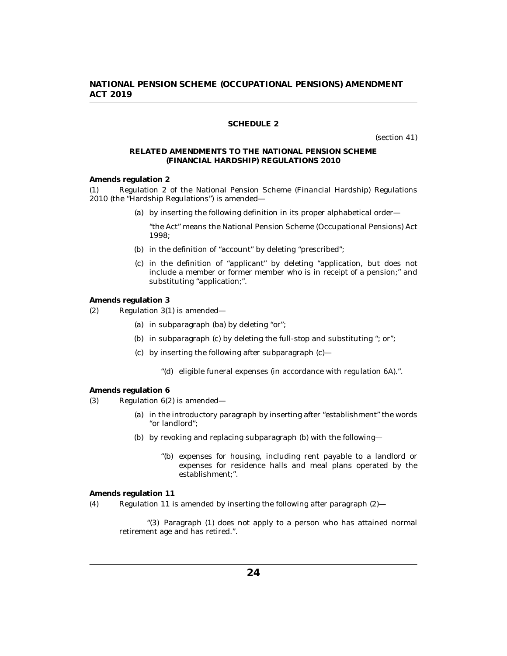### **SCHEDULE 2**

(section 41)

### <span id="page-23-0"></span>**RELATED AMENDMENTS TO THE NATIONAL PENSION SCHEME (FINANCIAL HARDSHIP) REGULATIONS 2010**

**Amends regulation 2**

Regulation 2 of the National Pension Scheme (Financial Hardship) Regulations 2010 (the "Hardship Regulations") is amended— (1)

(a) by inserting the following definition in its proper alphabetical order—

"the Act" means the National Pension Scheme (Occupational Pensions) Act 1998;

- (b) in the definition of "account" by deleting "prescribed";
- (c) in the definition of "applicant" by deleting "application, but does not include a member or former member who is in receipt of a pension;" and substituting "application;".

**Amends regulation 3**

- Regulation 3(1) is amended— (2)
	- (a) in subparagraph (ba) by deleting "or";
	- (b) in subparagraph (c) by deleting the full-stop and substituting "; or";
	- $\chi$  by inserting the following after subparagraph  $\chi$ 
		- "(d) eligible funeral expenses (in accordance with regulation 6A).".

#### **Amends regulation 6**

- Regulation 6(2) is amended— (3)
	- (a) in the introductory paragraph by inserting after "establishment" the words "or landlord";
	- by revoking and replacing subparagraph (b) with the following— (b)
		- "(b) expenses for housing, including rent payable to a landlord or expenses for residence halls and meal plans operated by the establishment;".

**Amends regulation 11**

Regulation 11 is amended by inserting the following after paragraph (2)— (4)

"(3) Paragraph (1) does not apply to a person who has attained normal retirement age and has retired.".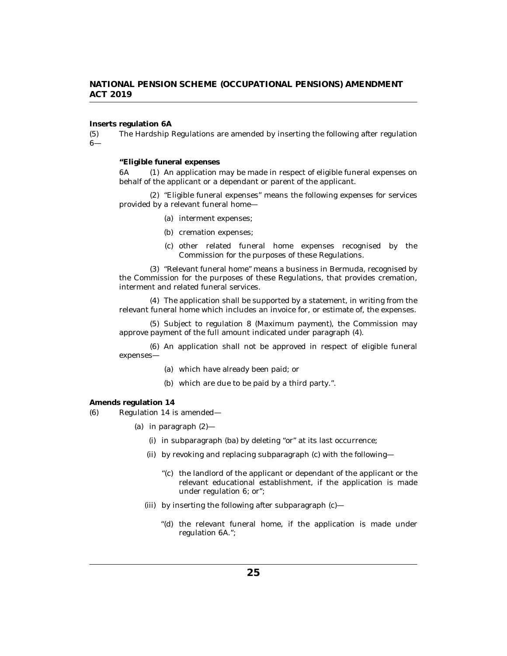**Inserts regulation 6A**

The Hardship Regulations are amended by inserting the following after regulation 6— (5)

**"Eligible funeral expenses**

(1) An application may be made in respect of eligible funeral expenses on behalf of the applicant or a dependant or parent of the applicant. 6A

"Eligible funeral expenses" means the following expenses for services (2) provided by a relevant funeral home—

- (a) interment expenses;
- (b) cremation expenses;
- (c) other related funeral home expenses recognised by the Commission for the purposes of these Regulations.

"Relevant funeral home" means a business in Bermuda, recognised by (3) the Commission for the purposes of these Regulations, that provides cremation, interment and related funeral services.

The application shall be supported by a statement, in writing from the (4) relevant funeral home which includes an invoice for, or estimate of, the expenses.

(5) Subject to regulation 8 (Maximum payment), the Commission may approve payment of the full amount indicated under paragraph (4).

(6) An application shall not be approved in respect of eligible funeral expenses—

- which have already been paid; or (a)
- (b) which are due to be paid by a third party.".

**Amends regulation 14**

- Regulation 14 is amended— (6)
	- in paragraph (2)— (a)
		- in subparagraph (ba) by deleting "or" at its last occurrence; (i)
		- (ii) by revoking and replacing subparagraph (c) with the following-
			- " $(c)$  the landlord of the applicant or dependant of the applicant or the relevant educational establishment, if the application is made under regulation 6; or";
		- (iii) by inserting the following after subparagraph (c)—
			- "(d) the relevant funeral home, if the application is made under regulation 6A.";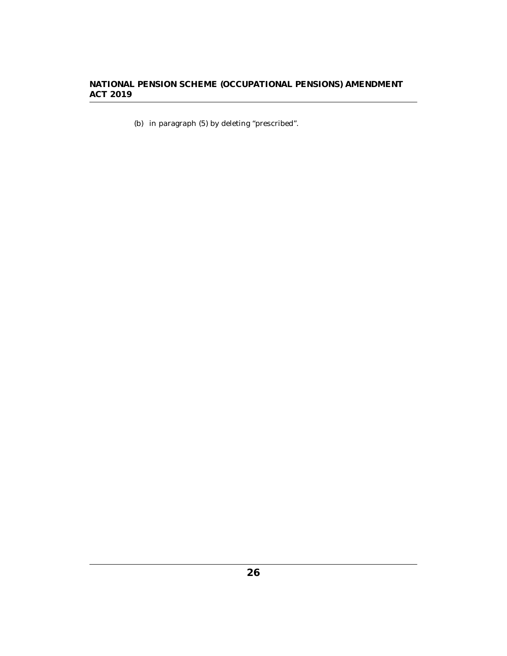(b) in paragraph  $(5)$  by deleting "prescribed".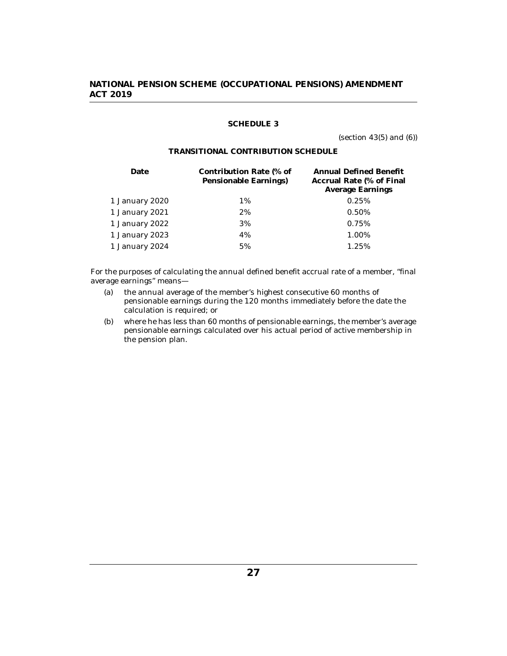### **SCHEDULE 3**

(section 43(5) and (6))

### **TRANSITIONAL CONTRIBUTION SCHEDULE**

<span id="page-26-0"></span>

| Contribution Rate (% of<br>Pensionable Earnings) | Annual Defined Benefit<br>Accrual Rate (% of Final<br>Average Earnings |
|--------------------------------------------------|------------------------------------------------------------------------|
| 1%                                               | 0.25%                                                                  |
| 2%                                               | 0.50%                                                                  |
| 3%                                               | 0.75%                                                                  |
| 4%                                               | 1.00%                                                                  |
| 5%                                               | 1.25%                                                                  |
|                                                  |                                                                        |

For the purposes of calculating the annual defined benefit accrual rate of a member, "final average earnings" means—

- (a) the annual average of the member's highest consecutive 60 months of pensionable earnings during the 120 months immediately before the date the calculation is required; or
- (b) where he has less than 60 months of pensionable earnings, the member's average pensionable earnings calculated over his actual period of active membership in the pension plan.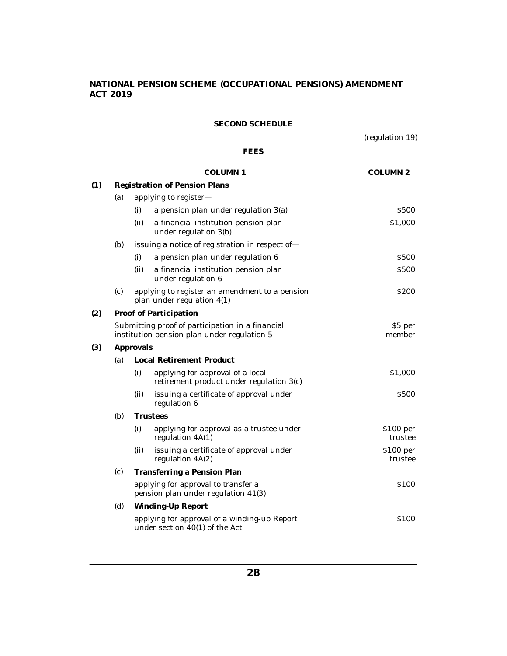### **SECOND SCHEDULE**

(regulation 19)

# **FEES**

<span id="page-27-0"></span>

|     |     |                                                                                                 | <b>COLUMN 1</b>                                                                | COLUMN <sub>2</sub>  |  |
|-----|-----|-------------------------------------------------------------------------------------------------|--------------------------------------------------------------------------------|----------------------|--|
| (1) |     | Registration of Pension Plans                                                                   |                                                                                |                      |  |
|     | (a) |                                                                                                 | applying to register-                                                          |                      |  |
|     |     | (i)                                                                                             | a pension plan under regulation 3(a)                                           | \$500                |  |
|     |     | (ii)                                                                                            | a financial institution pension plan<br>under regulation 3(b)                  | \$1,000              |  |
|     | (b) |                                                                                                 | issuing a notice of registration in respect of-                                |                      |  |
|     |     | (i)                                                                                             | a pension plan under regulation 6                                              | <b>S500</b>          |  |
|     |     | (ii)                                                                                            | a financial institution pension plan<br>under regulation 6                     | <b>S500</b>          |  |
|     | (c) |                                                                                                 | applying to register an amendment to a pension<br>plan under regulation 4(1)   | <b>S200</b>          |  |
| (2) |     | Proof of Participation                                                                          |                                                                                |                      |  |
|     |     | Submitting proof of participation in a financial<br>institution pension plan under regulation 5 | \$5 per<br>member                                                              |                      |  |
| (3) |     | Approvals                                                                                       |                                                                                |                      |  |
|     | (a) |                                                                                                 | <b>Local Retirement Product</b>                                                |                      |  |
|     |     | (i)                                                                                             | applying for approval of a local<br>retirement product under regulation 3(c)   | \$1,000              |  |
|     |     | (ii)                                                                                            | issuing a certificate of approval under<br>regulation 6                        | <b>S500</b>          |  |
|     | (b) |                                                                                                 | <b>Trustees</b>                                                                |                      |  |
|     |     | (i)                                                                                             | applying for approval as a trustee under<br>regulation 4A(1)                   | \$100~per<br>trustee |  |
|     |     | (ii)                                                                                            | issuing a certificate of approval under<br>regulation 4A(2)                    | \$100~per<br>trustee |  |
|     | (c) | Transferring a Pension Plan                                                                     |                                                                                |                      |  |
|     |     |                                                                                                 | applying for approval to transfer a<br>pension plan under regulation 41(3)     | \$100                |  |
|     | (d) |                                                                                                 | Winding-Up Report                                                              |                      |  |
|     |     |                                                                                                 | applying for approval of a winding-up Report<br>under section 40(1) of the Act | \$100                |  |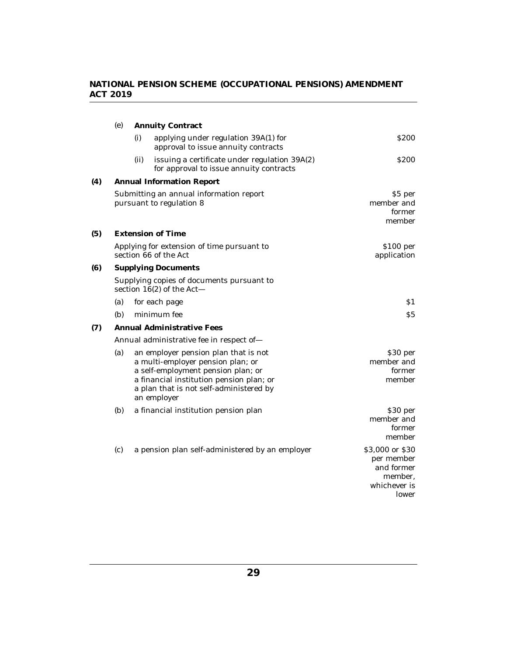|     | (e)                                                                 |                                                                          | <b>Annuity Contract</b>                                                                                                                                                                                               |                                                                                 |  |  |
|-----|---------------------------------------------------------------------|--------------------------------------------------------------------------|-----------------------------------------------------------------------------------------------------------------------------------------------------------------------------------------------------------------------|---------------------------------------------------------------------------------|--|--|
|     |                                                                     | (i)                                                                      | applying under regulation 39A(1) for<br>approval to issue annuity contracts                                                                                                                                           | S <sub>200</sub>                                                                |  |  |
|     |                                                                     | (ii)                                                                     | issuing a certificate under regulation 39A(2)<br>for approval to issue annuity contracts                                                                                                                              | <b>S200</b>                                                                     |  |  |
| (4) |                                                                     |                                                                          | <b>Annual Information Report</b>                                                                                                                                                                                      |                                                                                 |  |  |
|     |                                                                     |                                                                          | Submitting an annual information report<br>pursuant to regulation 8                                                                                                                                                   | \$5 per<br>member and<br>former<br>member                                       |  |  |
| (5) |                                                                     |                                                                          | <b>Extension of Time</b>                                                                                                                                                                                              |                                                                                 |  |  |
|     | Applying for extension of time pursuant to<br>section 66 of the Act |                                                                          |                                                                                                                                                                                                                       | \$100 per<br>application                                                        |  |  |
| (6) |                                                                     | <b>Supplying Documents</b>                                               |                                                                                                                                                                                                                       |                                                                                 |  |  |
|     |                                                                     | Supplying copies of documents pursuant to<br>section $16(2)$ of the Act- |                                                                                                                                                                                                                       |                                                                                 |  |  |
|     | (a)                                                                 |                                                                          | for each page                                                                                                                                                                                                         | S1                                                                              |  |  |
|     | (b)                                                                 |                                                                          | minimum fee                                                                                                                                                                                                           | \$5                                                                             |  |  |
| (7) | Annual Administrative Fees                                          |                                                                          |                                                                                                                                                                                                                       |                                                                                 |  |  |
|     |                                                                     | Annual administrative fee in respect of-                                 |                                                                                                                                                                                                                       |                                                                                 |  |  |
|     | (a)                                                                 |                                                                          | an employer pension plan that is not<br>a multi-employer pension plan; or<br>a self-employment pension plan; or<br>a financial institution pension plan; or<br>a plan that is not self-administered by<br>an employer | \$30 per<br>member and<br>former<br>member                                      |  |  |
|     | (b)                                                                 |                                                                          | a financial institution pension plan                                                                                                                                                                                  | \$30 per<br>member and<br>former<br>member                                      |  |  |
|     | (c)                                                                 |                                                                          | a pension plan self-administered by an employer                                                                                                                                                                       | \$3,000 or \$30<br>per member<br>and former<br>member,<br>whichever is<br>lower |  |  |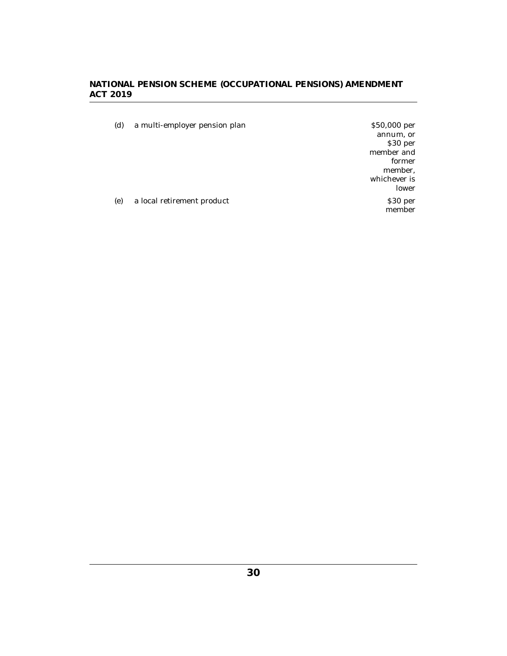(d) a multi-employer pension plan \$50,000 per annum, or member and whichever is (e) a local retirement product \$30 per

\$30 per

former member,

lower

member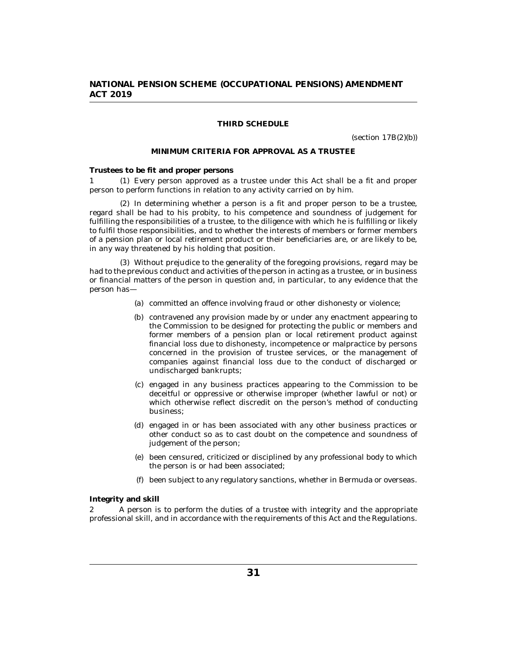### **THIRD SCHEDULE**

(section 17B(2)(b))

#### **MINIMUM CRITERIA FOR APPROVAL AS A TRUSTEE**

<span id="page-30-0"></span>**Trustees to be fit and proper persons**

Every person approved as a trustee under this Act shall be a fit and proper 1 (1) person to perform functions in relation to any activity carried on by him.

 $(2)$  In determining whether a person is a fit and proper person to be a trustee, regard shall be had to his probity, to his competence and soundness of judgement for fulfilling the responsibilities of a trustee, to the diligence with which he is fulfilling or likely to fulfil those responsibilities, and to whether the interests of members or former members of a pension plan or local retirement product or their beneficiaries are, or are likely to be, in any way threatened by his holding that position.

Without prejudice to the generality of the foregoing provisions, regard may be (3) had to the previous conduct and activities of the person in acting as a trustee, or in business or financial matters of the person in question and, in particular, to any evidence that the person has—

- (a) committed an offence involving fraud or other dishonesty or violence;
- (b) contravened any provision made by or under any enactment appearing to the Commission to be designed for protecting the public or members and former members of a pension plan or local retirement product against financial loss due to dishonesty, incompetence or malpractice by persons concerned in the provision of trustee services, or the management of companies against financial loss due to the conduct of discharged or undischarged bankrupts;
- (c) engaged in any business practices appearing to the Commission to be deceitful or oppressive or otherwise improper (whether lawful or not) or which otherwise reflect discredit on the person's method of conducting business;
- (d) engaged in or has been associated with any other business practices or other conduct so as to cast doubt on the competence and soundness of judgement of the person;
- been censured, criticized or disciplined by any professional body to which (e) the person is or had been associated;
- been subject to any regulatory sanctions, whether in Bermuda or overseas. (f)

**Integrity and skill**

A person is to perform the duties of a trustee with integrity and the appropriate professional skill, and in accordance with the requirements of this Act and the Regulations. 2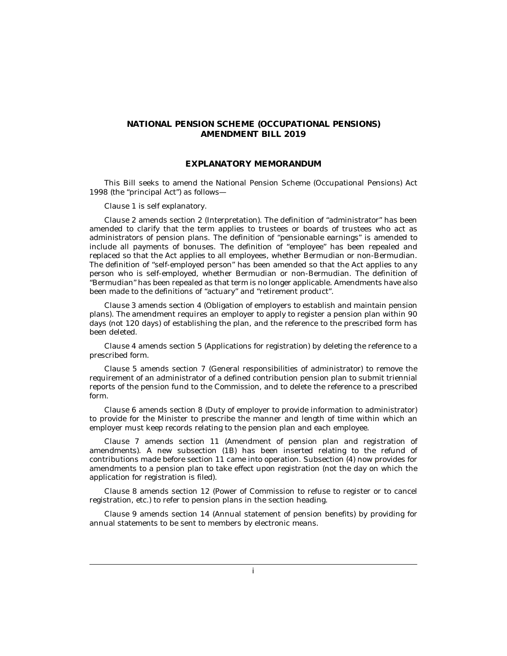### **EXPLANATORY MEMORANDUM**

This Bill seeks to amend the National Pension Scheme (Occupational Pensions) Act 1998 (the "principal Act") as follows—

Clause 1 is self explanatory.

Clause 2 amends section 2 (Interpretation). The definition of "administrator" has been amended to clarify that the term applies to trustees or boards of trustees who act as administrators of pension plans. The definition of "pensionable earnings" is amended to include all payments of bonuses. The definition of "employee" has been repealed and replaced so that the Act applies to all employees, whether Bermudian or non-Bermudian. The definition of "self-employed person" has been amended so that the Act applies to any person who is self-employed, whether Bermudian or non-Bermudian. The definition of "Bermudian" has been repealed as that term is no longer applicable. Amendments have also been made to the definitions of "actuary" and "retirement product".

Clause 3 amends section 4 (Obligation of employers to establish and maintain pension plans). The amendment requires an employer to apply to register a pension plan within 90 days (not 120 days) of establishing the plan, and the reference to the prescribed form has been deleted.

Clause 4 amends section 5 (Applications for registration) by deleting the reference to a prescribed form.

Clause 5 amends section 7 (General responsibilities of administrator) to remove the requirement of an administrator of a defined contribution pension plan to submit triennial reports of the pension fund to the Commission, and to delete the reference to a prescribed form.

Clause 6 amends section 8 (Duty of employer to provide information to administrator) to provide for the Minister to prescribe the manner and length of time within which an employer must keep records relating to the pension plan and each employee.

Clause 7 amends section 11 (Amendment of pension plan and registration of amendments). A new subsection (1B) has been inserted relating to the refund of contributions made before section 11 came into operation. Subsection (4) now provides for amendments to a pension plan to take effect upon registration (not the day on which the application for registration is filed).

Clause 8 amends section 12 (Power of Commission to refuse to register or to cancel registration, etc.) to refer to pension plans in the section heading.

Clause 9 amends section 14 (Annual statement of pension benefits) by providing for annual statements to be sent to members by electronic means.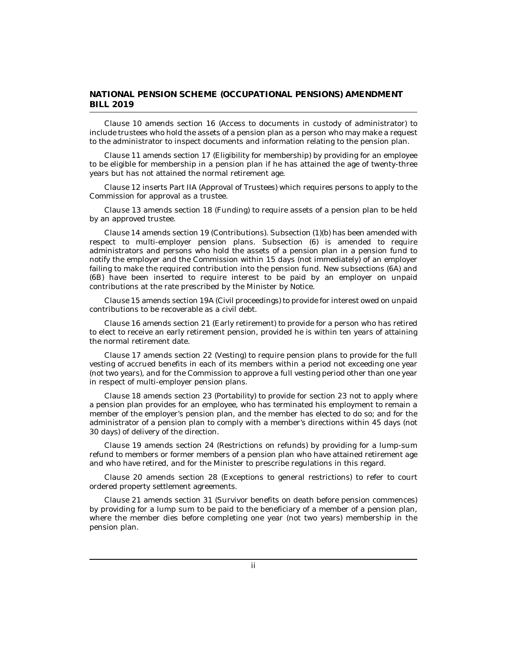Clause 10 amends section 16 (Access to documents in custody of administrator) to include trustees who hold the assets of a pension plan as a person who may make a request to the administrator to inspect documents and information relating to the pension plan.

Clause 11 amends section 17 (Eligibility for membership) by providing for an employee to be eligible for membership in a pension plan if he has attained the age of twenty-three years but has not attained the normal retirement age.

Clause 12 inserts Part IIA (Approval of Trustees) which requires persons to apply to the Commission for approval as a trustee.

Clause 13 amends section 18 (Funding) to require assets of a pension plan to be held by an approved trustee.

Clause 14 amends section 19 (Contributions). Subsection (1)(b) has been amended with respect to multi-employer pension plans. Subsection (6) is amended to require administrators and persons who hold the assets of a pension plan in a pension fund to notify the employer and the Commission within 15 days (not immediately) of an employer failing to make the required contribution into the pension fund. New subsections (6A) and (6B) have been inserted to require interest to be paid by an employer on unpaid contributions at the rate prescribed by the Minister by Notice.

Clause 15 amends section 19A (Civil proceedings) to provide for interest owed on unpaid contributions to be recoverable as a civil debt.

Clause 16 amends section 21 (Early retirement) to provide for a person who has retired to elect to receive an early retirement pension, provided he is within ten years of attaining the normal retirement date.

Clause 17 amends section 22 (Vesting) to require pension plans to provide for the full vesting of accrued benefits in each of its members within a period not exceeding one year (not two years), and for the Commission to approve a full vesting period other than one year in respect of multi-employer pension plans.

Clause 18 amends section 23 (Portability) to provide for section 23 not to apply where a pension plan provides for an employee, who has terminated his employment to remain a member of the employer's pension plan, and the member has elected to do so; and for the administrator of a pension plan to comply with a member's directions within 45 days (not 30 days) of delivery of the direction.

Clause 19 amends section 24 (Restrictions on refunds) by providing for a lump-sum refund to members or former members of a pension plan who have attained retirement age and who have retired, and for the Minister to prescribe regulations in this regard.

Clause 20 amends section 28 (Exceptions to general restrictions) to refer to court ordered property settlement agreements.

Clause 21 amends section 31 (Survivor benefits on death before pension commences) by providing for a lump sum to be paid to the beneficiary of a member of a pension plan, where the member dies before completing one year (not two years) membership in the pension plan.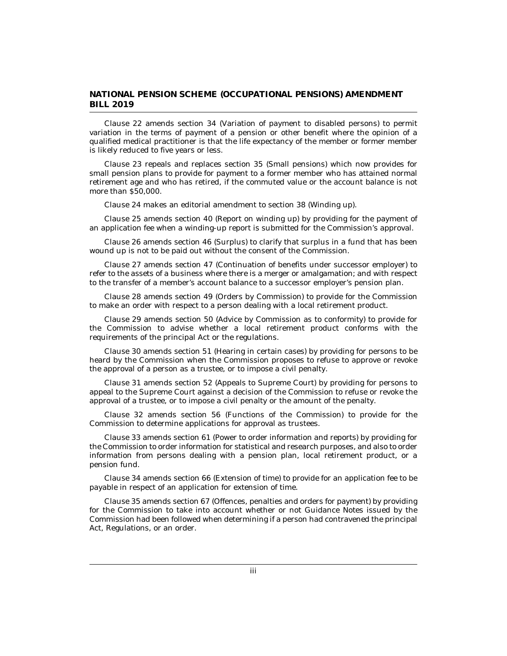Clause 22 amends section 34 (Variation of payment to disabled persons) to permit variation in the terms of payment of a pension or other benefit where the opinion of a qualified medical practitioner is that the life expectancy of the member or former member is likely reduced to five years or less.

Clause 23 repeals and replaces section 35 (Small pensions) which now provides for small pension plans to provide for payment to a former member who has attained normal retirement age and who has retired, if the commuted value or the account balance is not more than \$50,000.

Clause 24 makes an editorial amendment to section 38 (Winding up).

Clause 25 amends section 40 (Report on winding up) by providing for the payment of an application fee when a winding-up report is submitted for the Commission's approval.

Clause 26 amends section 46 (Surplus) to clarify that surplus in a fund that has been wound up is not to be paid out without the consent of the Commission.

Clause 27 amends section 47 (Continuation of benefits under successor employer) to refer to the assets of a business where there is a merger or amalgamation; and with respect to the transfer of a member's account balance to a successor employer's pension plan.

Clause 28 amends section 49 (Orders by Commission) to provide for the Commission to make an order with respect to a person dealing with a local retirement product.

Clause 29 amends section 50 (Advice by Commission as to conformity) to provide for the Commission to advise whether a local retirement product conforms with the requirements of the principal Act or the regulations.

Clause 30 amends section 51 (Hearing in certain cases) by providing for persons to be heard by the Commission when the Commission proposes to refuse to approve or revoke the approval of a person as a trustee, or to impose a civil penalty.

Clause 31 amends section 52 (Appeals to Supreme Court) by providing for persons to appeal to the Supreme Court against a decision of the Commission to refuse or revoke the approval of a trustee, or to impose a civil penalty or the amount of the penalty.

Clause 32 amends section 56 (Functions of the Commission) to provide for the Commission to determine applications for approval as trustees.

Clause 33 amends section 61 (Power to order information and reports) by providing for the Commission to order information for statistical and research purposes, and also to order information from persons dealing with a pension plan, local retirement product, or a pension fund.

Clause 34 amends section 66 (Extension of time) to provide for an application fee to be payable in respect of an application for extension of time.

Clause 35 amends section 67 (Offences, penalties and orders for payment) by providing for the Commission to take into account whether or not Guidance Notes issued by the Commission had been followed when determining if a person had contravened the principal Act, Regulations, or an order.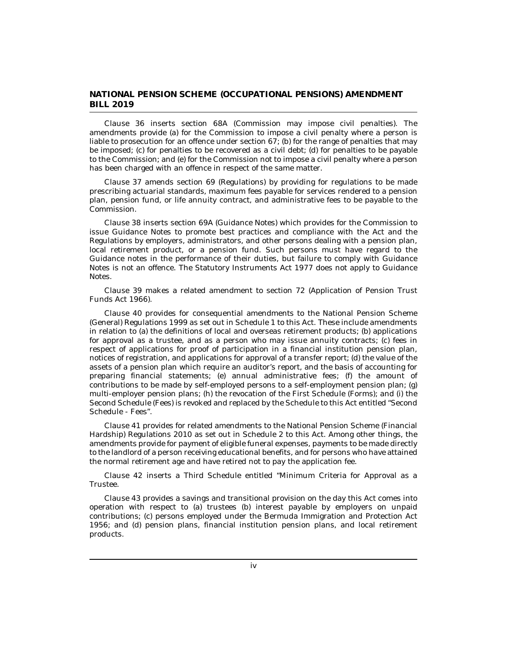Clause 36 inserts section 68A (Commission may impose civil penalties). The amendments provide (a) for the Commission to impose a civil penalty where a person is liable to prosecution for an offence under section 67; (b) for the range of penalties that may be imposed; (c) for penalties to be recovered as a civil debt; (d) for penalties to be payable to the Commission; and (e) for the Commission not to impose a civil penalty where a person has been charged with an offence in respect of the same matter.

Clause 37 amends section 69 (Regulations) by providing for regulations to be made prescribing actuarial standards, maximum fees payable for services rendered to a pension plan, pension fund, or life annuity contract, and administrative fees to be payable to the Commission.

Clause 38 inserts section 69A (Guidance Notes) which provides for the Commission to issue Guidance Notes to promote best practices and compliance with the Act and the Regulations by employers, administrators, and other persons dealing with a pension plan, local retirement product, or a pension fund. Such persons must have regard to the Guidance notes in the performance of their duties, but failure to comply with Guidance Notes is not an offence. The Statutory Instruments Act 1977 does not apply to Guidance Notes.

Clause 39 makes a related amendment to section 72 (Application of Pension Trust Funds Act 1966).

Clause 40 provides for consequential amendments to the National Pension Scheme (General) Regulations 1999 as set out in Schedule 1 to this Act. These include amendments in relation to (a) the definitions of local and overseas retirement products; (b) applications for approval as a trustee, and as a person who may issue annuity contracts; (c) fees in respect of applications for proof of participation in a financial institution pension plan, notices of registration, and applications for approval of a transfer report; (d) the value of the assets of a pension plan which require an auditor's report, and the basis of accounting for preparing financial statements; (e) annual administrative fees; (f) the amount of contributions to be made by self-employed persons to a self-employment pension plan; (g) multi-employer pension plans; (h) the revocation of the First Schedule (Forms); and (i) the Second Schedule (Fees) is revoked and replaced by the Schedule to this Act entitled "Second Schedule - Fees".

Clause 41 provides for related amendments to the National Pension Scheme (Financial Hardship) Regulations 2010 as set out in Schedule 2 to this Act. Among other things, the amendments provide for payment of eligible funeral expenses, payments to be made directly to the landlord of a person receiving educational benefits, and for persons who have attained the normal retirement age and have retired not to pay the application fee.

Clause 42 inserts a Third Schedule entitled "Minimum Criteria for Approval as a Trustee.

Clause 43 provides a savings and transitional provision on the day this Act comes into operation with respect to (a) trustees (b) interest payable by employers on unpaid contributions; (c) persons employed under the Bermuda Immigration and Protection Act 1956; and (d) pension plans, financial institution pension plans, and local retirement products.